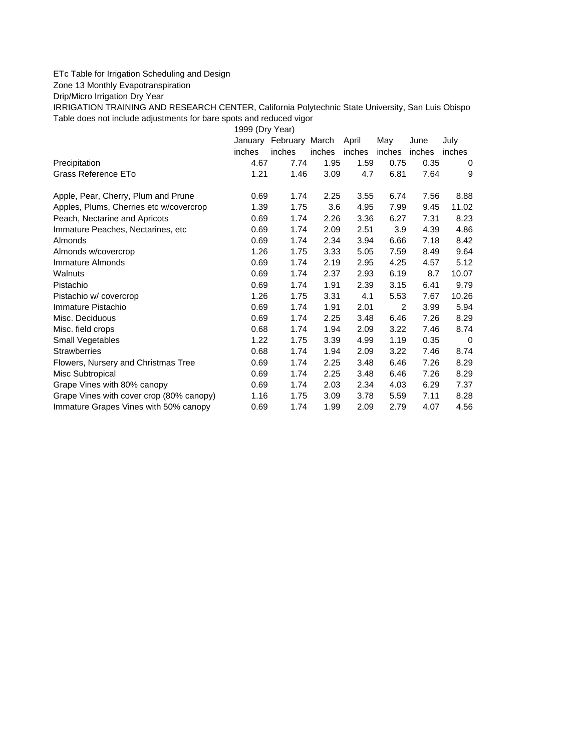## ETc Table for Irrigation Scheduling and Design

Zone 13 Monthly Evapotranspiration

Drip/Micro Irrigation Dry Year

IRRIGATION TRAINING AND RESEARCH CENTER, California Polytechnic State University, San Luis Obispo Table does not include adjustments for bare spots and reduced vigor

1999 (Dry Year)

|                                          |        | January February March |        | April  | May            | June   | July   |
|------------------------------------------|--------|------------------------|--------|--------|----------------|--------|--------|
|                                          | inches | inches                 | inches | inches | inches         | inches | inches |
| Precipitation                            | 4.67   | 7.74                   | 1.95   | 1.59   | 0.75           | 0.35   | 0      |
| Grass Reference ETo                      | 1.21   | 1.46                   | 3.09   | 4.7    | 6.81           | 7.64   | 9      |
| Apple, Pear, Cherry, Plum and Prune      | 0.69   | 1.74                   | 2.25   | 3.55   | 6.74           | 7.56   | 8.88   |
| Apples, Plums, Cherries etc w/covercrop  | 1.39   | 1.75                   | 3.6    | 4.95   | 7.99           | 9.45   | 11.02  |
| Peach, Nectarine and Apricots            | 0.69   | 1.74                   | 2.26   | 3.36   | 6.27           | 7.31   | 8.23   |
| Immature Peaches, Nectarines, etc.       | 0.69   | 1.74                   | 2.09   | 2.51   | 3.9            | 4.39   | 4.86   |
| Almonds                                  | 0.69   | 1.74                   | 2.34   | 3.94   | 6.66           | 7.18   | 8.42   |
| Almonds w/covercrop                      | 1.26   | 1.75                   | 3.33   | 5.05   | 7.59           | 8.49   | 9.64   |
| Immature Almonds                         | 0.69   | 1.74                   | 2.19   | 2.95   | 4.25           | 4.57   | 5.12   |
| Walnuts                                  | 0.69   | 1.74                   | 2.37   | 2.93   | 6.19           | 8.7    | 10.07  |
| Pistachio                                | 0.69   | 1.74                   | 1.91   | 2.39   | 3.15           | 6.41   | 9.79   |
| Pistachio w/covercrop                    | 1.26   | 1.75                   | 3.31   | 4.1    | 5.53           | 7.67   | 10.26  |
| Immature Pistachio                       | 0.69   | 1.74                   | 1.91   | 2.01   | $\overline{2}$ | 3.99   | 5.94   |
| Misc. Deciduous                          | 0.69   | 1.74                   | 2.25   | 3.48   | 6.46           | 7.26   | 8.29   |
| Misc. field crops                        | 0.68   | 1.74                   | 1.94   | 2.09   | 3.22           | 7.46   | 8.74   |
| Small Vegetables                         | 1.22   | 1.75                   | 3.39   | 4.99   | 1.19           | 0.35   | 0      |
| <b>Strawberries</b>                      | 0.68   | 1.74                   | 1.94   | 2.09   | 3.22           | 7.46   | 8.74   |
| Flowers, Nursery and Christmas Tree      | 0.69   | 1.74                   | 2.25   | 3.48   | 6.46           | 7.26   | 8.29   |
| Misc Subtropical                         | 0.69   | 1.74                   | 2.25   | 3.48   | 6.46           | 7.26   | 8.29   |
| Grape Vines with 80% canopy              | 0.69   | 1.74                   | 2.03   | 2.34   | 4.03           | 6.29   | 7.37   |
| Grape Vines with cover crop (80% canopy) | 1.16   | 1.75                   | 3.09   | 3.78   | 5.59           | 7.11   | 8.28   |
| Immature Grapes Vines with 50% canopy    | 0.69   | 1.74                   | 1.99   | 2.09   | 2.79           | 4.07   | 4.56   |